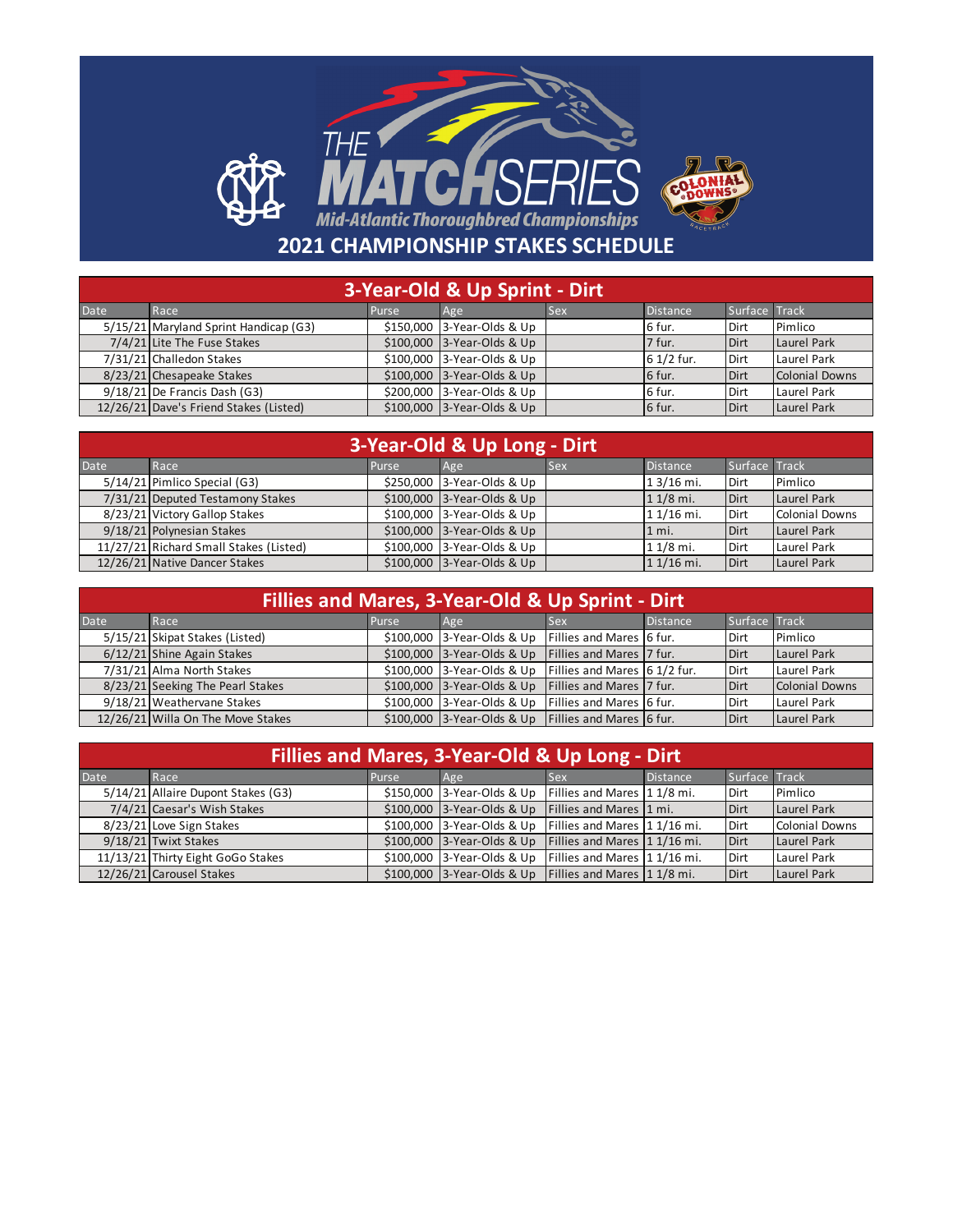## THE V **2021 CHAMPIONSHIP STAKES SCHEDULE**

| 3-Year-Old & Up Sprint - Dirt |                                        |              |                            |            |                 |               |                |
|-------------------------------|----------------------------------------|--------------|----------------------------|------------|-----------------|---------------|----------------|
| <b>Date</b>                   | Race                                   | <b>Purse</b> | Age                        | <b>Sex</b> | <b>Distance</b> | Surface Track |                |
|                               | 5/15/21 Maryland Sprint Handicap (G3)  |              | \$150,000 3-Year-Olds & Up |            | 6 fur.          | Dirt          | Pimlico        |
|                               | 7/4/21 Lite The Fuse Stakes            |              | \$100,000 3-Year-Olds & Up |            | 7 fur.          | Dirt          | Laurel Park    |
|                               | 7/31/21 Challedon Stakes               |              | \$100,000 3-Year-Olds & Up |            | 6 1/2 fur.      | Dirt          | Laurel Park    |
|                               | 8/23/21 Chesapeake Stakes              |              | \$100,000 3-Year-Olds & Up |            | 6 fur.          | Dirt          | Colonial Downs |
|                               | $9/18/21$ De Francis Dash (G3)         |              | \$200,000 3-Year-Olds & Up |            | 6 fur.          | Dirt          | Laurel Park    |
|                               | 12/26/21 Dave's Friend Stakes (Listed) |              | \$100,000 3-Year-Olds & Up |            | 6 fur.          | Dirt          | Laurel Park    |

| 3-Year-Old & Up Long - Dirt |                                        |       |                             |            |                 |               |                |
|-----------------------------|----------------------------------------|-------|-----------------------------|------------|-----------------|---------------|----------------|
| Date                        | Race                                   | Purse | Age                         | <b>Sex</b> | <b>Distance</b> | Surface Track |                |
|                             | 5/14/21 Pimlico Special (G3)           |       | \$250,000 3-Year-Olds & Up  |            | 1 3/16 mi.      | Dirt          | Pimlico        |
|                             | 7/31/21 Deputed Testamony Stakes       |       | $$100,000$ 3-Year-Olds & Up |            | $11/8$ mi.      | Dirt          | Laurel Park    |
|                             | 8/23/21 Victory Gallop Stakes          |       | \$100,000 3-Year-Olds & Up  |            | 1 1/16 mi.      | Dirt          | Colonial Downs |
|                             | 9/18/21 Polynesian Stakes              |       | $$100,000$ 3-Year-Olds & Up |            | $1 \text{ mi.}$ | Dirt          | Laurel Park    |
|                             | 11/27/21 Richard Small Stakes (Listed) |       | \$100,000 3-Year-Olds & Up  |            | $11/8$ mi.      | Dirt          | Laurel Park    |
|                             | 12/26/21 Native Dancer Stakes          |       | $$100,000$ 3-Year-Olds & Up |            | $11/16$ mi.     | Dirt          | Laurel Park    |

| Fillies and Mares, 3-Year-Old & Up Sprint - Dirt |                                   |       |                            |                                 |                 |               |                |  |
|--------------------------------------------------|-----------------------------------|-------|----------------------------|---------------------------------|-----------------|---------------|----------------|--|
| Date                                             | Race                              | Purse | Age                        | <b>Sex</b>                      | <b>Distance</b> | Surface Track |                |  |
|                                                  | 5/15/21 Skipat Stakes (Listed)    |       | \$100,000 3-Year-Olds & Up | <b>Fillies and Mares 6 fur.</b> |                 | Dirt          | Pimlico        |  |
|                                                  | 6/12/21 Shine Again Stakes        |       | \$100,000 3-Year-Olds & Up | <b>Fillies and Mares 7 fur.</b> |                 | <b>Dirt</b>   | Laurel Park    |  |
|                                                  | 7/31/21 Alma North Stakes         |       | \$100,000 3-Year-Olds & Up | Fillies and Mares 6 1/2 fur.    |                 | Dirt          | Laurel Park    |  |
|                                                  | 8/23/21 Seeking The Pearl Stakes  |       | \$100,000 3-Year-Olds & Up | Fillies and Mares 7 fur.        |                 | Dirt          | Colonial Downs |  |
|                                                  | 9/18/21 Weathervane Stakes        |       | \$100,000 3-Year-Olds & Up | Fillies and Mares 6 fur.        |                 | Dirt          | Laurel Park    |  |
|                                                  | 12/26/21 Willa On The Move Stakes |       | \$100,000 3-Year-Olds & Up | Fillies and Mares 6 fur.        |                 | <b>Dirt</b>   | Laurel Park    |  |

| Fillies and Mares, 3-Year-Old & Up Long - Dirt |                                    |       |                            |                              |          |               |                       |
|------------------------------------------------|------------------------------------|-------|----------------------------|------------------------------|----------|---------------|-----------------------|
| <b>Date</b>                                    | Race                               | Purse | Age                        | <b>Sex</b>                   | Distance | Surface Track |                       |
|                                                | 5/14/21 Allaire Dupont Stakes (G3) |       | \$150,000 3-Year-Olds & Up | Fillies and Mares 1 1/8 mi.  |          | Dirt          | Pimlico               |
|                                                | 7/4/21 Caesar's Wish Stakes        |       | \$100,000 3-Year-Olds & Up | Fillies and Mares 1 mi.      |          | Dirt          | Laurel Park           |
|                                                | 8/23/21 Love Sign Stakes           |       | \$100,000 3-Year-Olds & Up | Fillies and Mares 1 1/16 mi. |          | Dirt          | <b>Colonial Downs</b> |
|                                                | 9/18/21 Twixt Stakes               |       | \$100,000 3-Year-Olds & Up | Fillies and Mares 1 1/16 mi. |          | Dirt          | Laurel Park           |
|                                                | 11/13/21 Thirty Eight GoGo Stakes  |       | \$100,000 3-Year-Olds & Up | Fillies and Mares 1 1/16 mi. |          | Dirt          | Laurel Park           |
|                                                | 12/26/21 Carousel Stakes           |       | \$100,000 3-Year-Olds & Up | Fillies and Mares 1 1/8 mi.  |          | Dirt          | Laurel Park           |